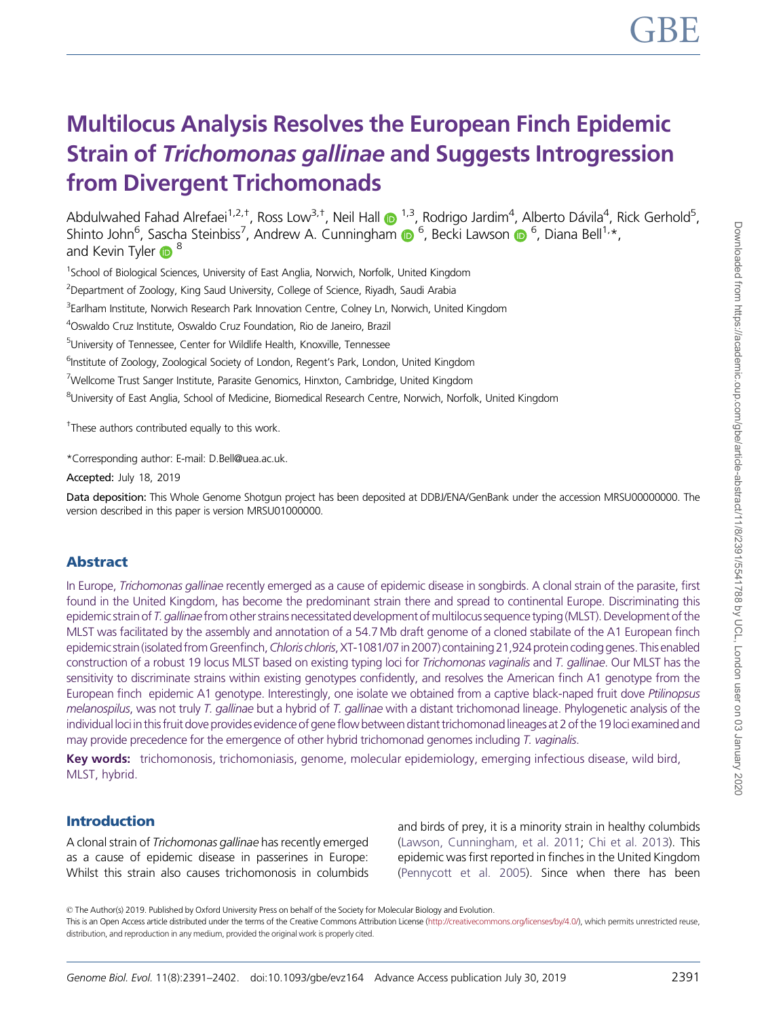# Multilocus Analysis Resolves the European Finch Epidemic Strain of Trichomonas gallinae and Suggests Introgression from Divergent Trichomonads

Abdulwahed Fahad Alrefaei<sup>1,2,†</sup>, Ross Low<sup>3,†</sup>, Neil Hall @ <sup>1,3</sup>, Rodrigo Jardim<sup>4</sup>, Alberto Dávila<sup>4</sup>, Rick Gerhold<sup>5</sup>, Shinto John<sup>6</sup>, Sascha Steinbiss<sup>7</sup>, Andrew A. Cunningham (D <sup>6</sup>, Becki Lawson (D <sup>6</sup>, Diana Bell<sup>1,</sup>\*, and Kevin Tyler  $\bigcirc^8$ 

<sup>1</sup>School of Biological Sciences, University of East Anglia, Norwich, Norfolk, United Kingdom

<sup>2</sup>Department of Zoology, King Saud University, College of Science, Riyadh, Saudi Arabia

<sup>3</sup>Earlham Institute, Norwich Research Park Innovation Centre, Colney Ln, Norwich, United Kingdom

4 Oswaldo Cruz Institute, Oswaldo Cruz Foundation, Rio de Janeiro, Brazil

<sup>5</sup>University of Tennessee, Center for Wildlife Health, Knoxville, Tennessee

<sup>6</sup>Institute of Zoology, Zoological Society of London, Regent's Park, London, United Kingdom

<sup>7</sup>Wellcome Trust Sanger Institute, Parasite Genomics, Hinxton, Cambridge, United Kingdom

<sup>8</sup>University of East Anglia, School of Medicine, Biomedical Research Centre, Norwich, Norfolk, United Kingdom

<sup>+</sup>These authors contributed equally to this work.

\*Corresponding author: E-mail: D.Bell@uea.ac.uk.

Accepted: July 18, 2019

Data deposition: This Whole Genome Shotgun project has been deposited at DDBJ/ENA/GenBank under the accession MRSU00000000. The version described in this paper is version MRSU01000000.

# Abstract

In Europe, Trichomonas gallinae recently emerged as a cause of epidemic disease in songbirds. A clonal strain of the parasite, first found in the United Kingdom, has become the predominant strain there and spread to continental Europe. Discriminating this epidemic strain of T. gallinae from other strains necessitated development of multilocus sequence typing (MLST). Development of the MLST was facilitated by the assembly and annotation of a 54.7 Mb draft genome of a cloned stabilate of the A1 European finch epidemic strain (isolated from Greenfinch, Chloris chloris, XT-1081/07 in 2007) containing 21,924 protein coding genes. This enabled construction of a robust 19 locus MLST based on existing typing loci for Trichomonas vaginalis and T. gallinae. Our MLST has the sensitivity to discriminate strains within existing genotypes confidently, and resolves the American finch A1 genotype from the European finch epidemic A1 genotype. Interestingly, one isolate we obtained from a captive black-naped fruit dove Ptilinopsus melanospilus, was not truly T. gallinae but a hybrid of T. gallinae with a distant trichomonad lineage. Phylogenetic analysis of the individual loci in this fruit dove provides evidence of gene flow between distant trichomonad lineages at 2 of the 19 loci examined and may provide precedence for the emergence of other hybrid trichomonad genomes including T. vaginalis.

Key words: trichomonosis, trichomoniasis, genome, molecular epidemiology, emerging infectious disease, wild bird, MLST, hybrid.

# Introduction

A clonal strain of Trichomonas gallinae has recently emerged as a cause of epidemic disease in passerines in Europe: Whilst this strain also causes trichomonosis in columbids and birds of prey, it is a minority strain in healthy columbids [\(Lawson, Cunningham, et al. 2011;](#page-11-0) [Chi et al. 2013\)](#page-10-0). This epidemic was first reported in finches in the United Kingdom [\(Pennycott et al. 2005](#page-11-0)). Since when there has been

This is an Open Access article distributed under the terms of the Creative Commons Attribution License ([http://creativecommons.org/licenses/by/4.0/\)](Undefined namespace prefix
xmlXPathCompOpEval: parameter error
xmlXPathEval: evaluation failed
), which permits unrestricted reuse, distribution, and reproduction in any medium, provided the original work is properly cited.

<sup>©</sup> The Author(s) 2019. Published by Oxford University Press on behalf of the Society for Molecular Biology and Evolution.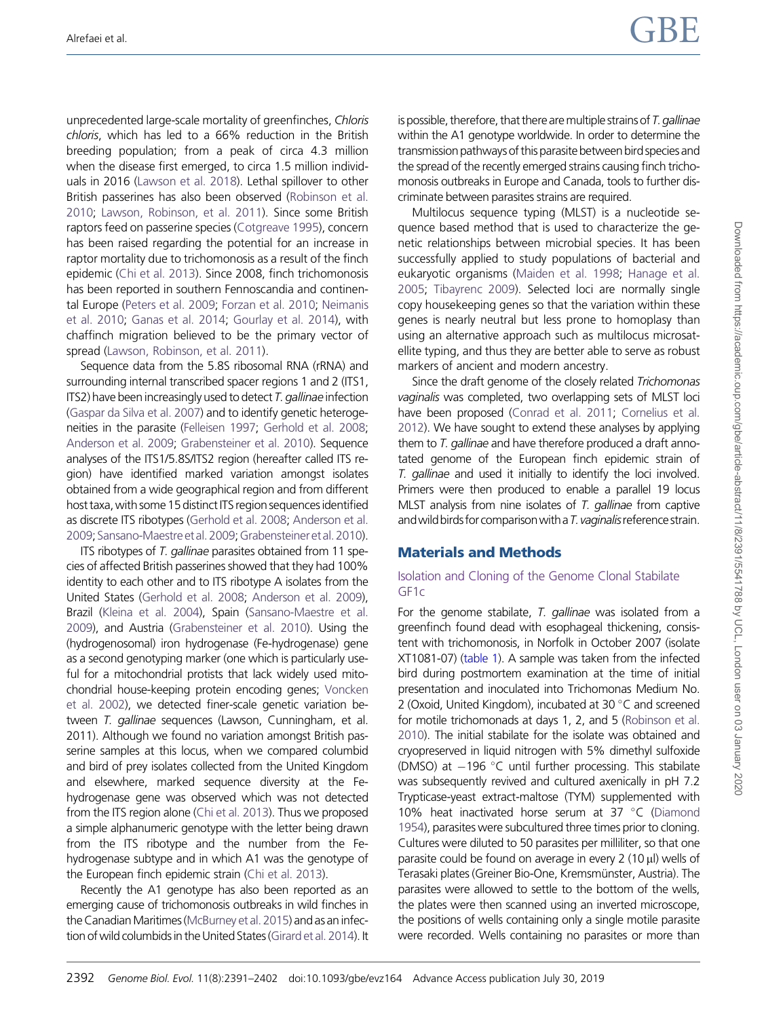unprecedented large-scale mortality of greenfinches, Chloris chloris, which has led to a 66% reduction in the British breeding population; from a peak of circa 4.3 million when the disease first emerged, to circa 1.5 million individuals in 2016 [\(Lawson et al. 2018](#page-11-0)). Lethal spillover to other British passerines has also been observed [\(Robinson et al.](#page-11-0) [2010](#page-11-0); [Lawson, Robinson, et al. 2011](#page-11-0)). Since some British raptors feed on passerine species ([Cotgreave 1995](#page-10-0)), concern has been raised regarding the potential for an increase in raptor mortality due to trichomonosis as a result of the finch epidemic ([Chi et al. 2013](#page-10-0)). Since 2008, finch trichomonosis has been reported in southern Fennoscandia and continental Europe ([Peters et al. 2009;](#page-11-0) [Forzan et al. 2010;](#page-10-0) [Neimanis](#page-11-0) [et al. 2010](#page-11-0); [Ganas et al. 2014;](#page-10-0) [Gourlay et al. 2014](#page-10-0)), with chaffinch migration believed to be the primary vector of spread ([Lawson, Robinson, et al. 2011](#page-11-0)).

Sequence data from the 5.8S ribosomal RNA (rRNA) and surrounding internal transcribed spacer regions 1 and 2 (ITS1, ITS2) have been increasingly used to detect T. gallinae infection [\(Gaspar da Silva et al. 2007](#page-10-0)) and to identify genetic heterogeneities in the parasite [\(Felleisen 1997](#page-10-0); [Gerhold et al. 2008;](#page-10-0) [Anderson et al. 2009](#page-10-0); [Grabensteiner et al. 2010\)](#page-10-0). Sequence analyses of the ITS1/5.8S/ITS2 region (hereafter called ITS region) have identified marked variation amongst isolates obtained from a wide geographical region and from different host taxa, with some 15 distinct ITS region sequences identified as discrete ITS ribotypes [\(Gerhold et al. 2008](#page-10-0); [Anderson et al.](#page-10-0) [2009](#page-10-0);[Sansano-Maestreetal.2009](#page-11-0);[Grabensteineretal.2010](#page-10-0)).

ITS ribotypes of T. gallinae parasites obtained from 11 species of affected British passerines showed that they had 100% identity to each other and to ITS ribotype A isolates from the United States ([Gerhold et al. 2008](#page-10-0); [Anderson et al. 2009](#page-10-0)), Brazil [\(Kleina et al. 2004](#page-11-0)), Spain [\(Sansano-Maestre et al.](#page-11-0) [2009](#page-11-0)), and Austria ([Grabensteiner et al. 2010](#page-10-0)). Using the (hydrogenosomal) iron hydrogenase (Fe-hydrogenase) gene as a second genotyping marker (one which is particularly useful for a mitochondrial protists that lack widely used mitochondrial house-keeping protein encoding genes; [Voncken](#page-11-0) [et al. 2002](#page-11-0)), we detected finer-scale genetic variation between T. gallinae sequences (Lawson, Cunningham, et al. 2011). Although we found no variation amongst British passerine samples at this locus, when we compared columbid and bird of prey isolates collected from the United Kingdom and elsewhere, marked sequence diversity at the Fehydrogenase gene was observed which was not detected from the ITS region alone [\(Chi et al. 2013\)](#page-10-0). Thus we proposed a simple alphanumeric genotype with the letter being drawn from the ITS ribotype and the number from the Fehydrogenase subtype and in which A1 was the genotype of the European finch epidemic strain [\(Chi et al. 2013](#page-10-0)).

Recently the A1 genotype has also been reported as an emerging cause of trichomonosis outbreaks in wild finches in the Canadian Maritimes (McBurney et al. 2015) and as an infection of wild columbids in the United States (Girard et al. 2014). It is possible, therefore, that there are multiple strains of  $T$ . gallinae within the A1 genotype worldwide. In order to determine the transmission pathways of this parasite between bird species and the spread of the recently emerged strains causing finch trichomonosis outbreaks in Europe and Canada, tools to further discriminate between parasites strains are required.

Multilocus sequence typing (MLST) is a nucleotide sequence based method that is used to characterize the genetic relationships between microbial species. It has been successfully applied to study populations of bacterial and eukaryotic organisms ([Maiden et al. 1998;](#page-11-0) [Hanage et al.](#page-11-0) [2005;](#page-11-0) [Tibayrenc 2009](#page-11-0)). Selected loci are normally single copy housekeeping genes so that the variation within these genes is nearly neutral but less prone to homoplasy than using an alternative approach such as multilocus microsatellite typing, and thus they are better able to serve as robust markers of ancient and modern ancestry.

Since the draft genome of the closely related Trichomonas vaginalis was completed, two overlapping sets of MLST loci have been proposed [\(Conrad et al. 2011;](#page-10-0) [Cornelius et al.](#page-10-0) [2012\)](#page-10-0). We have sought to extend these analyses by applying them to T. gallinae and have therefore produced a draft annotated genome of the European finch epidemic strain of T. gallinae and used it initially to identify the loci involved. Primers were then produced to enable a parallel 19 locus MLST analysis from nine isolates of T. gallinae from captive and wild birds for comparison with a T. vaginalis reference strain.

# Materials and Methods

## Isolation and Cloning of the Genome Clonal Stabilate GF1c

For the genome stabilate, T. gallinae was isolated from a greenfinch found dead with esophageal thickening, consistent with trichomonosis, in Norfolk in October 2007 (isolate XT1081-07) ([table 1](#page-2-0)). A sample was taken from the infected bird during postmortem examination at the time of initial presentation and inoculated into Trichomonas Medium No. 2 (Oxoid, United Kingdom), incubated at 30 °C and screened for motile trichomonads at days 1, 2, and 5 ([Robinson et al.](#page-11-0) [2010\)](#page-11-0). The initial stabilate for the isolate was obtained and cryopreserved in liquid nitrogen with 5% dimethyl sulfoxide (DMSO) at  $-196$  °C until further processing. This stabilate was subsequently revived and cultured axenically in pH 7.2 Trypticase-yeast extract-maltose (TYM) supplemented with 10% heat inactivated horse serum at 37 °C [\(Diamond](#page-10-0) [1954\)](#page-10-0), parasites were subcultured three times prior to cloning. Cultures were diluted to 50 parasites per milliliter, so that one parasite could be found on average in every  $2(10 \mu l)$  wells of Terasaki plates (Greiner Bio-One, Kremsmünster, Austria). The parasites were allowed to settle to the bottom of the wells, the plates were then scanned using an inverted microscope, the positions of wells containing only a single motile parasite were recorded. Wells containing no parasites or more than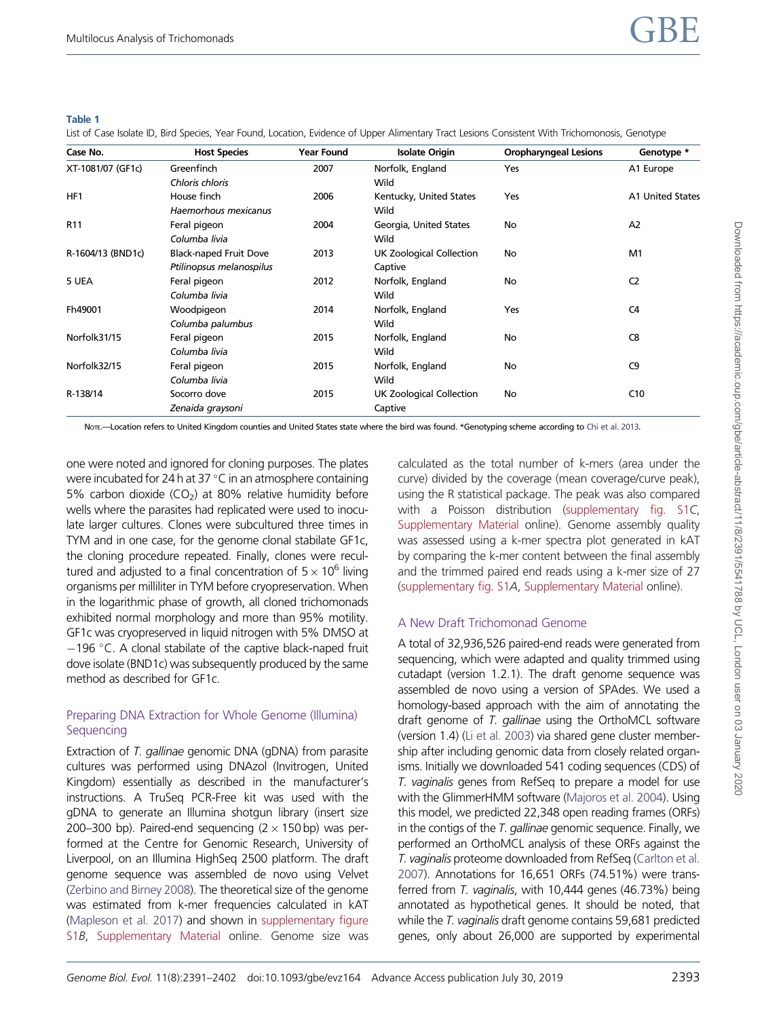#### <span id="page-2-0"></span>Table 1

List of Case Isolate ID, Bird Species, Year Found, Location, Evidence of Upper Alimentary Tract Lesions Consistent With Trichomonosis, Genotype

| Case No.          | <b>Host Species</b>           | <b>Year Found</b> | <b>Isolate Origin</b>    | <b>Oropharyngeal Lesions</b> | Genotype *       |
|-------------------|-------------------------------|-------------------|--------------------------|------------------------------|------------------|
| XT-1081/07 (GF1c) | Greenfinch                    | 2007              | Norfolk, England         | Yes                          | A1 Europe        |
|                   | Chloris chloris               |                   | Wild                     |                              |                  |
| HF1               | House finch                   | 2006              | Kentucky, United States  | Yes                          | A1 United States |
|                   | Haemorhous mexicanus          |                   | Wild                     |                              |                  |
| R <sub>11</sub>   | Feral pigeon                  | 2004              | Georgia, United States   | No                           | A2               |
|                   | Columba livia                 |                   | Wild                     |                              |                  |
| R-1604/13 (BND1c) | <b>Black-naped Fruit Dove</b> | 2013              | UK Zoological Collection | No                           | M1               |
|                   | Ptilinopsus melanospilus      |                   | Captive                  |                              |                  |
| 5 UEA             | Feral pigeon                  | 2012              | Norfolk, England         | No                           | C <sub>2</sub>   |
|                   | Columba livia                 |                   | Wild                     |                              |                  |
| Fh49001           | Woodpigeon                    | 2014              | Norfolk, England         | Yes                          | C4               |
|                   | Columba palumbus              |                   | Wild                     |                              |                  |
| Norfolk31/15      | Feral pigeon                  | 2015              | Norfolk, England         | No                           | C <sub>8</sub>   |
|                   | Columba livia                 |                   | Wild                     |                              |                  |
| Norfolk32/15      | Feral pigeon                  | 2015              | Norfolk, England         | No                           | C <sub>9</sub>   |
|                   | Columba livia                 |                   | Wild                     |                              |                  |
| R-138/14          | Socorro dove                  | 2015              | UK Zoological Collection | No                           | C10              |
|                   | Zenaida graysoni              |                   | Captive                  |                              |                  |

NorE.-Location refers to United Kingdom counties and United States state where the bird was found. \*Genotyping scheme according to [Chi et al. 2013](#page-10-0).

one were noted and ignored for cloning purposes. The plates were incubated for 24 h at 37  $^{\circ}$ C in an atmosphere containing 5% carbon dioxide  $(CO<sub>2</sub>)$  at 80% relative humidity before wells where the parasites had replicated were used to inoculate larger cultures. Clones were subcultured three times in TYM and in one case, for the genome clonal stabilate GF1c, the cloning procedure repeated. Finally, clones were recultured and adjusted to a final concentration of  $5 \times 10^6$  living organisms per milliliter in TYM before cryopreservation. When in the logarithmic phase of growth, all cloned trichomonads exhibited normal morphology and more than 95% motility. GF1c was cryopreserved in liquid nitrogen with 5% DMSO at  $-196$  °C. A clonal stabilate of the captive black-naped fruit dove isolate (BND1c) was subsequently produced by the same method as described for GF1c.

# Preparing DNA Extraction for Whole Genome (Illumina) Sequencing

Extraction of T. gallinae genomic DNA (gDNA) from parasite cultures was performed using DNAzol (Invitrogen, United Kingdom) essentially as described in the manufacturer's instructions. A TruSeq PCR-Free kit was used with the gDNA to generate an Illumina shotgun library (insert size 200–300 bp). Paired-end sequencing  $(2 \times 150$  bp) was performed at the Centre for Genomic Research, University of Liverpool, on an Illumina HighSeq 2500 platform. The draft genome sequence was assembled de novo using Velvet [\(Zerbino and Birney 2008](#page-11-0)). The theoretical size of the genome was estimated from k-mer frequencies calculated in kAT [\(Mapleson et al. 2017\)](#page-11-0) and shown in [supplementary figure](https://academic.oup.com/gbe/article-lookup/doi/10.1093/gbe/evz164#supplementary-data) [S1](https://academic.oup.com/gbe/article-lookup/doi/10.1093/gbe/evz164#supplementary-data)B, [Supplementary Material](https://academic.oup.com/gbe/article-lookup/doi/10.1093/gbe/evz164#supplementary-data) online. Genome size was

calculated as the total number of k-mers (area under the curve) divided by the coverage (mean coverage/curve peak), using the R statistical package. The peak was also compared with a Poisson distribution [\(supplementary fig. S1](https://academic.oup.com/gbe/article-lookup/doi/10.1093/gbe/evz164#supplementary-data)C, [Supplementary Material](https://academic.oup.com/gbe/article-lookup/doi/10.1093/gbe/evz164#supplementary-data) online). Genome assembly quality was assessed using a k-mer spectra plot generated in kAT by comparing the k-mer content between the final assembly and the trimmed paired end reads using a k-mer size of 27 [\(supplementary fig. S1](https://academic.oup.com/gbe/article-lookup/doi/10.1093/gbe/evz164#supplementary-data)A, [Supplementary Material](https://academic.oup.com/gbe/article-lookup/doi/10.1093/gbe/evz164#supplementary-data) online).

# A New Draft Trichomonad Genome

A total of 32,936,526 paired-end reads were generated from sequencing, which were adapted and quality trimmed using cutadapt (version 1.2.1). The draft genome sequence was assembled de novo using a version of SPAdes. We used a homology-based approach with the aim of annotating the draft genome of T. gallinae using the OrthoMCL software (version 1.4) [\(Li et al. 2003\)](#page-11-0) via shared gene cluster membership after including genomic data from closely related organisms. Initially we downloaded 541 coding sequences (CDS) of T. vaginalis genes from RefSeq to prepare a model for use with the GlimmerHMM software [\(Majoros et al. 2004\)](#page-11-0). Using this model, we predicted 22,348 open reading frames (ORFs) in the contigs of the T. gallinae genomic sequence. Finally, we performed an OrthoMCL analysis of these ORFs against the T. vaginalis proteome downloaded from RefSeq ([Carlton et al.](#page-10-0) [2007\)](#page-10-0). Annotations for 16,651 ORFs (74.51%) were transferred from T. vaginalis, with 10,444 genes (46.73%) being annotated as hypothetical genes. It should be noted, that while the T. vaginalis draft genome contains 59,681 predicted genes, only about 26,000 are supported by experimental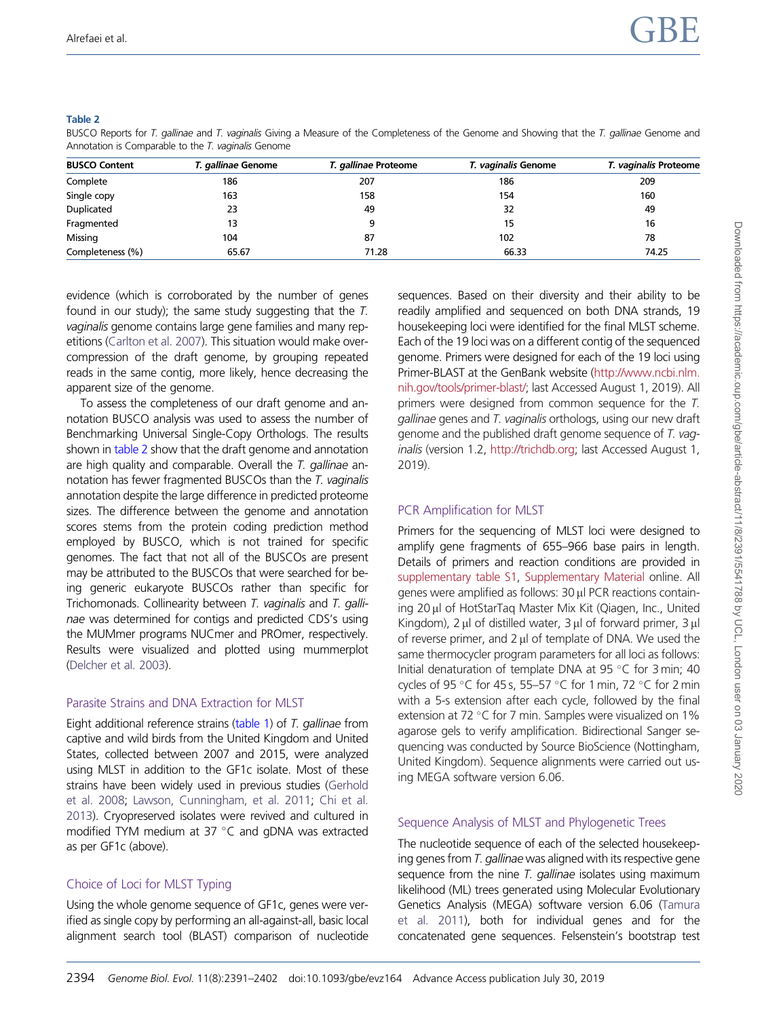#### <span id="page-3-0"></span>Table 2

BUSCO Reports for T. gallinae and T. vaginalis Giving a Measure of the Completeness of the Genome and Showing that the T. gallinae Genome and Annotation is Comparable to the T. vaginalis Genome

| <b>BUSCO Content</b> | T. gallinae Genome | T. gallinae Proteome | T. vaginalis Genome | T. vaginalis Proteome |  |
|----------------------|--------------------|----------------------|---------------------|-----------------------|--|
| Complete             | 186                | 207                  | 186                 | 209                   |  |
| Single copy          | 163                | 158                  | 154                 | 160                   |  |
| Duplicated           | 23                 | 49                   | 32                  | 49                    |  |
| Fragmented           | 13                 |                      | 15                  | 16                    |  |
| Missing              | 104                | 87                   | 102                 | 78                    |  |
| Completeness (%)     | 65.67              | 71.28                | 66.33               | 74.25                 |  |

evidence (which is corroborated by the number of genes found in our study); the same study suggesting that the T. vaginalis genome contains large gene families and many repetitions ([Carlton et al. 2007](#page-10-0)). This situation would make overcompression of the draft genome, by grouping repeated reads in the same contig, more likely, hence decreasing the apparent size of the genome.

To assess the completeness of our draft genome and annotation BUSCO analysis was used to assess the number of Benchmarking Universal Single-Copy Orthologs. The results shown in table 2 show that the draft genome and annotation are high quality and comparable. Overall the  $T$ . gallinae annotation has fewer fragmented BUSCOs than the T. vaginalis annotation despite the large difference in predicted proteome sizes. The difference between the genome and annotation scores stems from the protein coding prediction method employed by BUSCO, which is not trained for specific genomes. The fact that not all of the BUSCOs are present may be attributed to the BUSCOs that were searched for being generic eukaryote BUSCOs rather than specific for Trichomonads. Collinearity between T. vaginalis and T. gallinae was determined for contigs and predicted CDS's using the MUMmer programs NUCmer and PROmer, respectively. Results were visualized and plotted using mummerplot [\(Delcher et al. 2003\)](#page-10-0).

# Parasite Strains and DNA Extraction for MLST

Eight additional reference strains ([table 1](#page-2-0)) of T. gallinae from captive and wild birds from the United Kingdom and United States, collected between 2007 and 2015, were analyzed using MLST in addition to the GF1c isolate. Most of these strains have been widely used in previous studies [\(Gerhold](#page-10-0) [et al. 2008](#page-10-0); [Lawson, Cunningham, et al. 2011](#page-11-0); [Chi et al.](#page-10-0) [2013](#page-10-0)). Cryopreserved isolates were revived and cultured in modified TYM medium at 37  $^{\circ}$ C and gDNA was extracted as per GF1c (above).

# Choice of Loci for MLST Typing

Using the whole genome sequence of GF1c, genes were verified as single copy by performing an all-against-all, basic local alignment search tool (BLAST) comparison of nucleotide sequences. Based on their diversity and their ability to be readily amplified and sequenced on both DNA strands, 19 housekeeping loci were identified for the final MLST scheme. Each of the 19 loci was on a different contig of the sequenced genome. Primers were designed for each of the 19 loci using Primer-BLAST at the GenBank website [\(http://www.ncbi.nlm.](http://www.ncbi.nlm.nih.gov/tools/primer-blast/) [nih.gov/tools/primer-blast/;](http://www.ncbi.nlm.nih.gov/tools/primer-blast/) last Accessed August 1, 2019). All primers were designed from common sequence for the T. gallinae genes and T. vaginalis orthologs, using our new draft genome and the published draft genome sequence of T. vaginalis (version 1.2, <http://trichdb.org>; last Accessed August 1, 2019).

# PCR Amplification for MLST

Primers for the sequencing of MLST loci were designed to amplify gene fragments of 655–966 base pairs in length. Details of primers and reaction conditions are provided in [supplementary table S1](https://academic.oup.com/gbe/article-lookup/doi/10.1093/gbe/evz164#supplementary-data), [Supplementary Material](https://academic.oup.com/gbe/article-lookup/doi/10.1093/gbe/evz164#supplementary-data) online. All genes were amplified as follows: 30 µl PCR reactions containing 20 µl of HotStarTag Master Mix Kit (Qiagen, Inc., United Kingdom),  $2 \mu$  of distilled water,  $3 \mu$  of forward primer,  $3 \mu$ of reverse primer, and  $2 \mu$  of template of DNA. We used the same thermocycler program parameters for all loci as follows: Initial denaturation of template DNA at 95 °C for 3 min; 40 cycles of 95 °C for 45 s, 55-57 °C for 1 min, 72 °C for 2 min with a 5-s extension after each cycle, followed by the final extension at 72 °C for 7 min. Samples were visualized on 1% agarose gels to verify amplification. Bidirectional Sanger sequencing was conducted by Source BioScience (Nottingham, United Kingdom). Sequence alignments were carried out using MEGA software version 6.06.

# Sequence Analysis of MLST and Phylogenetic Trees

The nucleotide sequence of each of the selected housekeeping genes from T. gallinae was aligned with its respective gene sequence from the nine  $T$ . gallinae isolates using maximum likelihood (ML) trees generated using Molecular Evolutionary Genetics Analysis (MEGA) software version 6.06 [\(Tamura](#page-11-0) [et al. 2011\)](#page-11-0), both for individual genes and for the concatenated gene sequences. Felsenstein's bootstrap test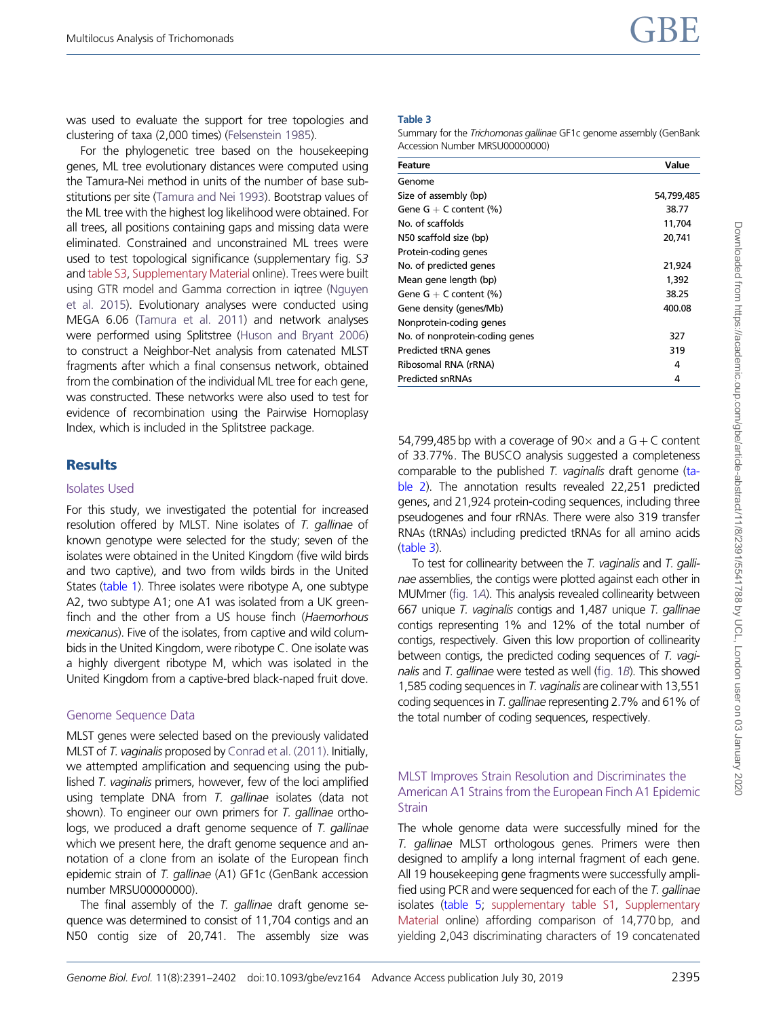<span id="page-4-0"></span>was used to evaluate the support for tree topologies and clustering of taxa (2,000 times) [\(Felsenstein 1985](#page-10-0)).

For the phylogenetic tree based on the housekeeping genes, ML tree evolutionary distances were computed using the Tamura-Nei method in units of the number of base substitutions per site [\(Tamura and Nei 1993](#page-11-0)). Bootstrap values of the ML tree with the highest log likelihood were obtained. For all trees, all positions containing gaps and missing data were eliminated. Constrained and unconstrained ML trees were used to test topological significance (supplementary fig. S3 and [table S3,](https://academic.oup.com/gbe/article-lookup/doi/10.1093/gbe/evz164#supplementary-data) [Supplementary Material](https://academic.oup.com/gbe/article-lookup/doi/10.1093/gbe/evz164#supplementary-data) online). Trees were built using GTR model and Gamma correction in iqtree [\(Nguyen](#page-11-0) [et al. 2015](#page-11-0)). Evolutionary analyses were conducted using MEGA 6.06 [\(Tamura et al. 2011](#page-11-0)) and network analyses were performed using Splitstree [\(Huson and Bryant 2006\)](#page-11-0) to construct a Neighbor-Net analysis from catenated MLST fragments after which a final consensus network, obtained from the combination of the individual ML tree for each gene, was constructed. These networks were also used to test for evidence of recombination using the Pairwise Homoplasy Index, which is included in the Splitstree package.

# **Results**

## Isolates Used

For this study, we investigated the potential for increased resolution offered by MLST. Nine isolates of T. gallinae of known genotype were selected for the study; seven of the isolates were obtained in the United Kingdom (five wild birds and two captive), and two from wilds birds in the United States [\(table 1](#page-2-0)). Three isolates were ribotype A, one subtype A2, two subtype A1; one A1 was isolated from a UK greenfinch and the other from a US house finch (Haemorhous mexicanus). Five of the isolates, from captive and wild columbids in the United Kingdom, were ribotype C. One isolate was a highly divergent ribotype M, which was isolated in the United Kingdom from a captive-bred black-naped fruit dove.

# Genome Sequence Data

MLST genes were selected based on the previously validated MLST of T. vaginalis proposed by [Conrad et al. \(2011\)](#page-10-0). Initially, we attempted amplification and sequencing using the published T. vaginalis primers, however, few of the loci amplified using template DNA from T. gallinae isolates (data not shown). To engineer our own primers for T. gallinae orthologs, we produced a draft genome sequence of T. gallinae which we present here, the draft genome sequence and annotation of a clone from an isolate of the European finch epidemic strain of T. gallinae (A1) GF1c (GenBank accession number MRSU000000000.

The final assembly of the T. gallinae draft genome sequence was determined to consist of 11,704 contigs and an N50 contig size of 20,741. The assembly size was

## Table 3

Summary for the Trichomonas gallinae GF1c genome assembly (GenBank Accession Number MRSU00000000)

| Feature                        | Value      |
|--------------------------------|------------|
| Genome                         |            |
| Size of assembly (bp)          | 54,799,485 |
| Gene $G + C$ content $(\%)$    | 38.77      |
| No. of scaffolds               | 11,704     |
| N50 scaffold size (bp)         | 20,741     |
| Protein-coding genes           |            |
| No. of predicted genes         | 21,924     |
| Mean gene length (bp)          | 1,392      |
| Gene $G + C$ content $(\%)$    | 38.25      |
| Gene density (genes/Mb)        | 400.08     |
| Nonprotein-coding genes        |            |
| No. of nonprotein-coding genes | 327        |
| Predicted tRNA genes           | 319        |
| Ribosomal RNA (rRNA)           | 4          |
| <b>Predicted snRNAs</b>        | 4          |
|                                |            |

54,799,485 bp with a coverage of  $90\times$  and a G + C content of 33.77%. The BUSCO analysis suggested a completeness comparable to the published T. vaginalis draft genome [\(ta](#page-3-0)[ble 2](#page-3-0)). The annotation results revealed 22,251 predicted genes, and 21,924 protein-coding sequences, including three pseudogenes and four rRNAs. There were also 319 transfer RNAs (tRNAs) including predicted tRNAs for all amino acids (table 3).

To test for collinearity between the T. vaginalis and T. gallinae assemblies, the contigs were plotted against each other in MUMmer [\(fig. 1](#page-5-0)A). This analysis revealed collinearity between 667 unique T. vaginalis contigs and 1,487 unique T. gallinae contigs representing 1% and 12% of the total number of contigs, respectively. Given this low proportion of collinearity between contigs, the predicted coding sequences of T. vaginalis and T. gallinae were tested as well [\(fig. 1](#page-5-0)B). This showed 1,585 coding sequences in T. vaginalis are colinear with 13,551 coding sequences in T. gallinae representing 2.7% and 61% of the total number of coding sequences, respectively.

## MLST Improves Strain Resolution and Discriminates the American A1 Strains from the European Finch A1 Epidemic **Strain**

The whole genome data were successfully mined for the T. gallinae MLST orthologous genes. Primers were then designed to amplify a long internal fragment of each gene. All 19 housekeeping gene fragments were successfully amplified using PCR and were sequenced for each of the T. gallinae isolates [\(table 5;](#page-6-0) [supplementary table S1,](https://academic.oup.com/gbe/article-lookup/doi/10.1093/gbe/evz164#supplementary-data) [Supplementary](https://academic.oup.com/gbe/article-lookup/doi/10.1093/gbe/evz164#supplementary-data) [Material](https://academic.oup.com/gbe/article-lookup/doi/10.1093/gbe/evz164#supplementary-data) online) affording comparison of 14,770 bp, and yielding 2,043 discriminating characters of 19 concatenated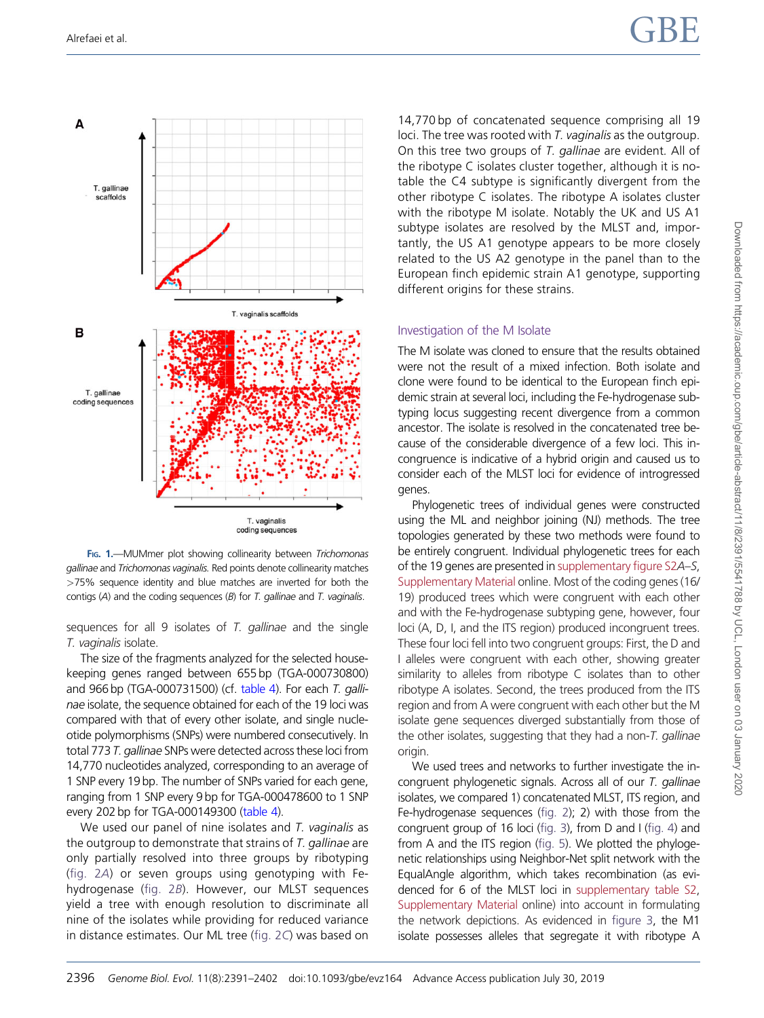<span id="page-5-0"></span>

FIG. 1.-MUMmer plot showing collinearity between Trichomonas gallinae and Trichomonas vaginalis. Red points denote collinearity matches >75% sequence identity and blue matches are inverted for both the contigs  $(A)$  and the coding sequences  $(B)$  for T. gallinae and T. vaginalis.

sequences for all 9 isolates of T. gallinae and the single T. vaginalis isolate.

The size of the fragments analyzed for the selected housekeeping genes ranged between 655 bp (TGA-000730800) and  $966$  bp (TGA-000731500) (cf. [table 4\)](#page-6-0). For each T. gallinae isolate, the sequence obtained for each of the 19 loci was compared with that of every other isolate, and single nucleotide polymorphisms (SNPs) were numbered consecutively. In total 773 T. gallinae SNPs were detected across these loci from 14,770 nucleotides analyzed, corresponding to an average of 1 SNP every 19 bp. The number of SNPs varied for each gene, ranging from 1 SNP every 9 bp for TGA-000478600 to 1 SNP every 202 bp for TGA-000149300 ([table 4](#page-6-0)).

We used our panel of nine isolates and T. vaginalis as the outgroup to demonstrate that strains of  $T$ . gallinae are only partially resolved into three groups by ribotyping ([fig. 2](#page-7-0)A) or seven groups using genotyping with Fehydrogenase ([fig. 2](#page-7-0)B). However, our MLST sequences yield a tree with enough resolution to discriminate all nine of the isolates while providing for reduced variance in distance estimates. Our ML tree [\(fig. 2](#page-7-0)C) was based on 14,770 bp of concatenated sequence comprising all 19 loci. The tree was rooted with T. vaginalis as the outgroup. On this tree two groups of T. gallinae are evident. All of the ribotype C isolates cluster together, although it is notable the C4 subtype is significantly divergent from the other ribotype C isolates. The ribotype A isolates cluster with the ribotype M isolate. Notably the UK and US A1 subtype isolates are resolved by the MLST and, importantly, the US A1 genotype appears to be more closely related to the US A2 genotype in the panel than to the European finch epidemic strain A1 genotype, supporting different origins for these strains.

## Investigation of the M Isolate

The M isolate was cloned to ensure that the results obtained were not the result of a mixed infection. Both isolate and clone were found to be identical to the European finch epidemic strain at several loci, including the Fe-hydrogenase subtyping locus suggesting recent divergence from a common ancestor. The isolate is resolved in the concatenated tree because of the considerable divergence of a few loci. This incongruence is indicative of a hybrid origin and caused us to consider each of the MLST loci for evidence of introgressed genes.

Phylogenetic trees of individual genes were constructed using the ML and neighbor joining (NJ) methods. The tree topologies generated by these two methods were found to be entirely congruent. Individual phylogenetic trees for each of the 19 genes are presented in [supplementary figure S2](https://academic.oup.com/gbe/article-lookup/doi/10.1093/gbe/evz164#supplementary-data)A–S, [Supplementary Material](https://academic.oup.com/gbe/article-lookup/doi/10.1093/gbe/evz164#supplementary-data) online. Most of the coding genes (16/ 19) produced trees which were congruent with each other and with the Fe-hydrogenase subtyping gene, however, four loci (A, D, I, and the ITS region) produced incongruent trees. These four loci fell into two congruent groups: First, the D and I alleles were congruent with each other, showing greater similarity to alleles from ribotype C isolates than to other ribotype A isolates. Second, the trees produced from the ITS region and from A were congruent with each other but the M isolate gene sequences diverged substantially from those of the other isolates, suggesting that they had a non-T. gallinae origin.

We used trees and networks to further investigate the incongruent phylogenetic signals. Across all of our T. gallinae isolates, we compared 1) concatenated MLST, ITS region, and Fe-hydrogenase sequences ([fig. 2](#page-7-0)); 2) with those from the congruent group of 16 loci [\(fig. 3\)](#page-8-0), from D and I [\(fig. 4\)](#page-9-0) and from A and the ITS region [\(fig. 5\)](#page-9-0). We plotted the phylogenetic relationships using Neighbor-Net split network with the EqualAngle algorithm, which takes recombination (as evidenced for 6 of the MLST loci in [supplementary table S2](https://academic.oup.com/gbe/article-lookup/doi/10.1093/gbe/evz164#supplementary-data), [Supplementary Material](https://academic.oup.com/gbe/article-lookup/doi/10.1093/gbe/evz164#supplementary-data) online) into account in formulating the network depictions. As evidenced in [figure 3](#page-8-0), the M1 isolate possesses alleles that segregate it with ribotype A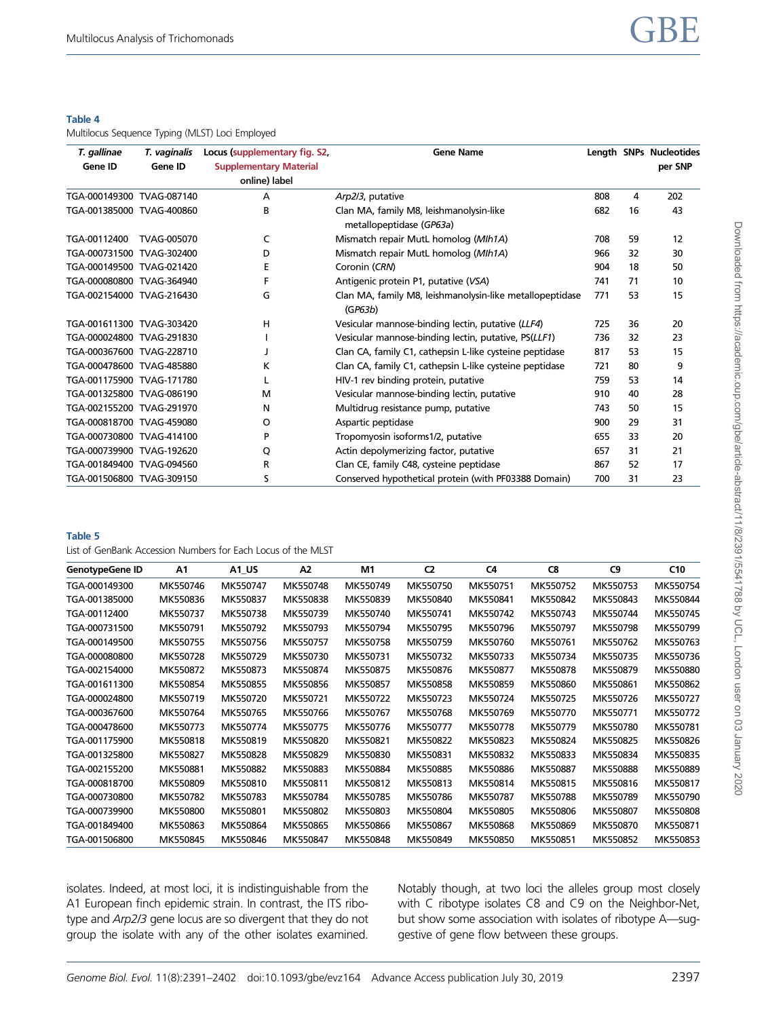#### <span id="page-6-0"></span>Table 4

Multilocus Sequence Typing (MLST) Loci Employed

| T. gallinae<br>T. vaginalis |             | Locus (supplementary fig. S2, | <b>Gene Name</b>                                                    |     |    | Length SNPs Nucleotides |
|-----------------------------|-------------|-------------------------------|---------------------------------------------------------------------|-----|----|-------------------------|
| Gene ID                     | Gene ID     | <b>Supplementary Material</b> |                                                                     |     |    | per SNP                 |
|                             |             | online) label                 |                                                                     |     |    |                         |
| TGA-000149300 TVAG-087140   |             | A                             | Arp2/3, putative                                                    | 808 | 4  | 202                     |
| TGA-001385000 TVAG-400860   |             | B                             | Clan MA, family M8, leishmanolysin-like<br>metallopeptidase (GP63a) | 682 | 16 | 43                      |
| TGA-00112400                | TVAG-005070 | C                             | Mismatch repair MutL homolog (MIh1A)                                | 708 | 59 | 12                      |
| TGA-000731500 TVAG-302400   |             | D                             | Mismatch repair MutL homolog (MIh1A)                                | 966 | 32 | 30                      |
| TGA-000149500 TVAG-021420   |             | F                             | Coronin (CRN)                                                       | 904 | 18 | 50                      |
| TGA-000080800 TVAG-364940   |             | F                             | Antigenic protein P1, putative (VSA)                                | 741 | 71 | 10                      |
| TGA-002154000 TVAG-216430   |             | G                             | Clan MA, family M8, leishmanolysin-like metallopeptidase<br>(GP63b) | 771 | 53 | 15                      |
| TGA-001611300 TVAG-303420   |             | н                             | Vesicular mannose-binding lectin, putative (LLF4)                   | 725 | 36 | 20                      |
| TGA-000024800 TVAG-291830   |             |                               | Vesicular mannose-binding lectin, putative, PS(LLF1)                | 736 | 32 | 23                      |
| TGA-000367600 TVAG-228710   |             |                               | Clan CA, family C1, cathepsin L-like cysteine peptidase             | 817 | 53 | 15                      |
| TGA-000478600 TVAG-485880   |             | κ                             | Clan CA, family C1, cathepsin L-like cysteine peptidase             | 721 | 80 | 9                       |
| TGA-001175900 TVAG-171780   |             |                               | HIV-1 rev binding protein, putative                                 | 759 | 53 | 14                      |
| TGA-001325800 TVAG-086190   |             | м                             | Vesicular mannose-binding lectin, putative                          | 910 | 40 | 28                      |
| TGA-002155200 TVAG-291970   |             | N                             | Multidrug resistance pump, putative                                 | 743 | 50 | 15                      |
| TGA-000818700 TVAG-459080   |             | O                             | Aspartic peptidase                                                  | 900 | 29 | 31                      |
| TGA-000730800 TVAG-414100   |             | P                             | Tropomyosin isoforms1/2, putative                                   | 655 | 33 | 20                      |
| TGA-000739900 TVAG-192620   |             | O                             | Actin depolymerizing factor, putative                               | 657 | 31 | 21                      |
| TGA-001849400 TVAG-094560   |             | R                             | Clan CE, family C48, cysteine peptidase                             | 867 | 52 | 17                      |
| TGA-001506800 TVAG-309150   |             | S                             | Conserved hypothetical protein (with PF03388 Domain)                | 700 | 31 | 23                      |

#### Table 5

List of GenBank Accession Numbers for Each Locus of the MLST

| <b>GenotypeGene ID</b> | A1       | A1_US    | A <sub>2</sub> | M1       | C <sub>2</sub> | C4       | C8       | C <sub>9</sub> | C10      |
|------------------------|----------|----------|----------------|----------|----------------|----------|----------|----------------|----------|
| TGA-000149300          | MK550746 | MK550747 | MK550748       | MK550749 | MK550750       | MK550751 | MK550752 | MK550753       | MK550754 |
| TGA-001385000          | MK550836 | MK550837 | MK550838       | MK550839 | MK550840       | MK550841 | MK550842 | MK550843       | MK550844 |
| TGA-00112400           | MK550737 | MK550738 | MK550739       | MK550740 | MK550741       | MK550742 | MK550743 | MK550744       | MK550745 |
| TGA-000731500          | MK550791 | MK550792 | MK550793       | MK550794 | MK550795       | MK550796 | MK550797 | MK550798       | MK550799 |
| TGA-000149500          | MK550755 | MK550756 | MK550757       | MK550758 | MK550759       | MK550760 | MK550761 | MK550762       | MK550763 |
| TGA-000080800          | MK550728 | MK550729 | MK550730       | MK550731 | MK550732       | MK550733 | MK550734 | MK550735       | MK550736 |
| TGA-002154000          | MK550872 | MK550873 | MK550874       | MK550875 | MK550876       | MK550877 | MK550878 | MK550879       | MK550880 |
| TGA-001611300          | MK550854 | MK550855 | MK550856       | MK550857 | MK550858       | MK550859 | MK550860 | MK550861       | MK550862 |
| TGA-000024800          | MK550719 | MK550720 | MK550721       | MK550722 | MK550723       | MK550724 | MK550725 | MK550726       | MK550727 |
| TGA-000367600          | MK550764 | MK550765 | MK550766       | MK550767 | MK550768       | MK550769 | MK550770 | MK550771       | MK550772 |
| TGA-000478600          | MK550773 | MK550774 | MK550775       | MK550776 | MK550777       | MK550778 | MK550779 | MK550780       | MK550781 |
| TGA-001175900          | MK550818 | MK550819 | MK550820       | MK550821 | MK550822       | MK550823 | MK550824 | MK550825       | MK550826 |
| TGA-001325800          | MK550827 | MK550828 | MK550829       | MK550830 | MK550831       | MK550832 | MK550833 | MK550834       | MK550835 |
| TGA-002155200          | MK550881 | MK550882 | MK550883       | MK550884 | MK550885       | MK550886 | MK550887 | MK550888       | MK550889 |
| TGA-000818700          | MK550809 | MK550810 | MK550811       | MK550812 | MK550813       | MK550814 | MK550815 | MK550816       | MK550817 |
| TGA-000730800          | MK550782 | MK550783 | MK550784       | MK550785 | MK550786       | MK550787 | MK550788 | MK550789       | MK550790 |
| TGA-000739900          | MK550800 | MK550801 | MK550802       | MK550803 | MK550804       | MK550805 | MK550806 | MK550807       | MK550808 |
| TGA-001849400          | MK550863 | MK550864 | MK550865       | MK550866 | MK550867       | MK550868 | MK550869 | MK550870       | MK550871 |
| TGA-001506800          | MK550845 | MK550846 | MK550847       | MK550848 | MK550849       | MK550850 | MK550851 | MK550852       | MK550853 |

isolates. Indeed, at most loci, it is indistinguishable from the A1 European finch epidemic strain. In contrast, the ITS ribotype and Arp2/3 gene locus are so divergent that they do not group the isolate with any of the other isolates examined. Notably though, at two loci the alleles group most closely with C ribotype isolates C8 and C9 on the Neighbor-Net, but show some association with isolates of ribotype A—suggestive of gene flow between these groups.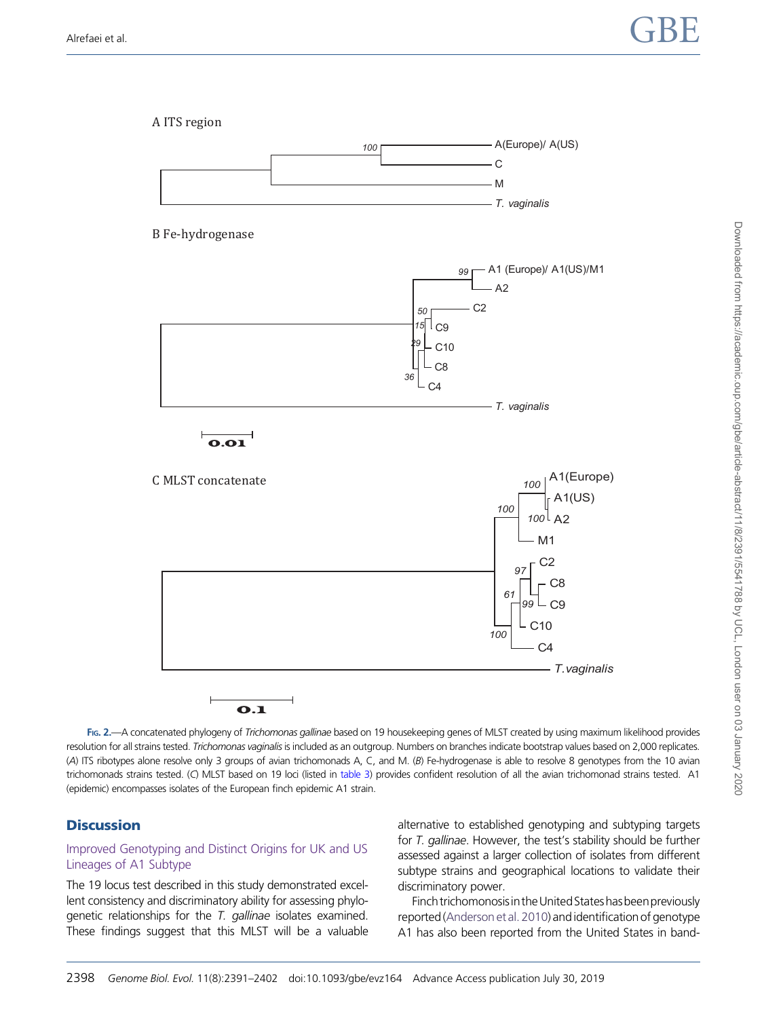<span id="page-7-0"></span>

FIG. 2.—A concatenated phylogeny of Trichomonas gallinae based on 19 housekeeping genes of MLST created by using maximum likelihood provides resolution for all strains tested. Trichomonas vaginalis is included as an outgroup. Numbers on branches indicate bootstrap values based on 2,000 replicates. (A) ITS ribotypes alone resolve only 3 groups of avian trichomonads A, C, and M. (B) Fe-hydrogenase is able to resolve 8 genotypes from the 10 avian trichomonads strains tested. (C) MLST based on 19 loci (listed in [table 3](#page-4-0)) provides confident resolution of all the avian trichomonad strains tested. A1 (epidemic) encompasses isolates of the European finch epidemic A1 strain.

# **Discussion**

## Improved Genotyping and Distinct Origins for UK and US Lineages of A1 Subtype

The 19 locus test described in this study demonstrated excellent consistency and discriminatory ability for assessing phylogenetic relationships for the T. gallinae isolates examined. These findings suggest that this MLST will be a valuable alternative to established genotyping and subtyping targets for T. gallinae. However, the test's stability should be further assessed against a larger collection of isolates from different subtype strains and geographical locations to validate their discriminatory power.

Finch trichomonosis in the United States has been previously reported (Anderson et al. 2010) and identification of genotype A1 has also been reported from the United States in band-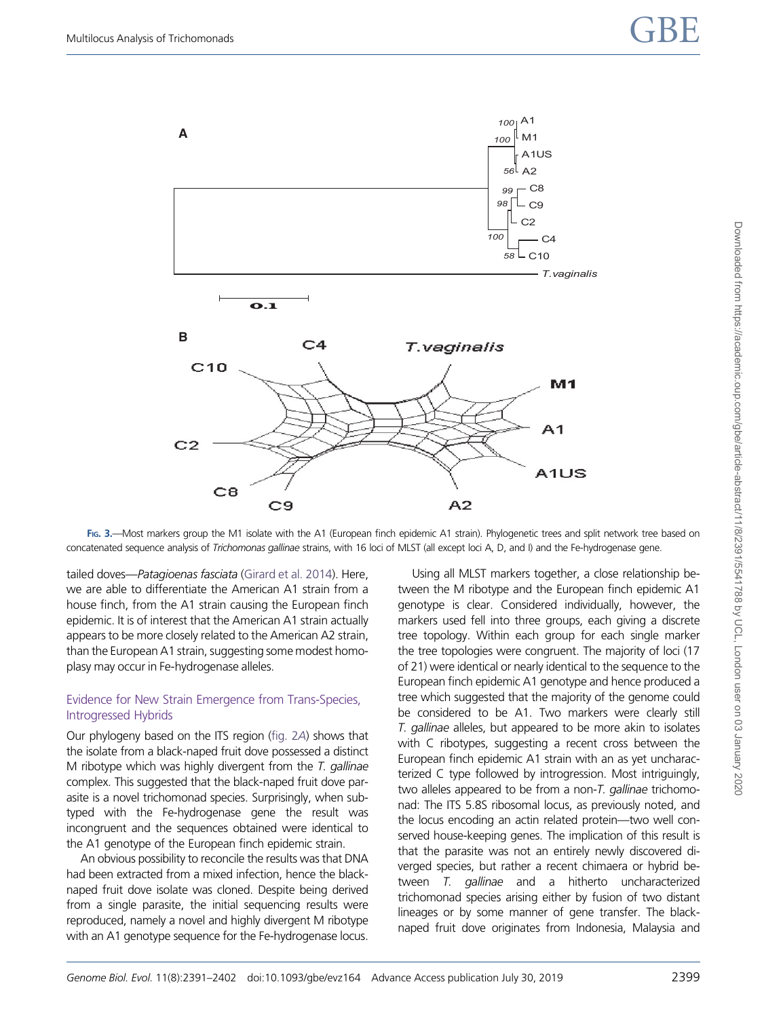<span id="page-8-0"></span>

FIG. 3. Alost markers group the M1 isolate with the A1 (European finch epidemic A1 strain). Phylogenetic trees and split network tree based on concatenated sequence analysis of Trichomonas gallinae strains, with 16 loci of MLST (all except loci A, D, and I) and the Fe-hydrogenase gene.

tailed doves—Patagioenas fasciata [\(Girard et al. 2014\)](#page-10-0). Here, we are able to differentiate the American A1 strain from a house finch, from the A1 strain causing the European finch epidemic. It is of interest that the American A1 strain actually appears to be more closely related to the American A2 strain, than the European A1 strain, suggesting some modest homoplasy may occur in Fe-hydrogenase alleles.

## Evidence for New Strain Emergence from Trans-Species, Introgressed Hybrids

Our phylogeny based on the ITS region ([fig. 2](#page-7-0)A) shows that the isolate from a black-naped fruit dove possessed a distinct M ribotype which was highly divergent from the  $T$ . gallinae complex. This suggested that the black-naped fruit dove parasite is a novel trichomonad species. Surprisingly, when subtyped with the Fe-hydrogenase gene the result was incongruent and the sequences obtained were identical to the A1 genotype of the European finch epidemic strain.

An obvious possibility to reconcile the results was that DNA had been extracted from a mixed infection, hence the blacknaped fruit dove isolate was cloned. Despite being derived from a single parasite, the initial sequencing results were reproduced, namely a novel and highly divergent M ribotype with an A1 genotype sequence for the Fe-hydrogenase locus.

Using all MLST markers together, a close relationship between the M ribotype and the European finch epidemic A1 genotype is clear. Considered individually, however, the markers used fell into three groups, each giving a discrete tree topology. Within each group for each single marker the tree topologies were congruent. The majority of loci (17 of 21) were identical or nearly identical to the sequence to the European finch epidemic A1 genotype and hence produced a tree which suggested that the majority of the genome could be considered to be A1. Two markers were clearly still T. gallinae alleles, but appeared to be more akin to isolates with C ribotypes, suggesting a recent cross between the European finch epidemic A1 strain with an as yet uncharacterized C type followed by introgression. Most intriguingly, two alleles appeared to be from a non-T. gallinae trichomonad: The ITS 5.8S ribosomal locus, as previously noted, and the locus encoding an actin related protein—two well conserved house-keeping genes. The implication of this result is that the parasite was not an entirely newly discovered diverged species, but rather a recent chimaera or hybrid between T. gallinae and a hitherto uncharacterized trichomonad species arising either by fusion of two distant lineages or by some manner of gene transfer. The blacknaped fruit dove originates from Indonesia, Malaysia and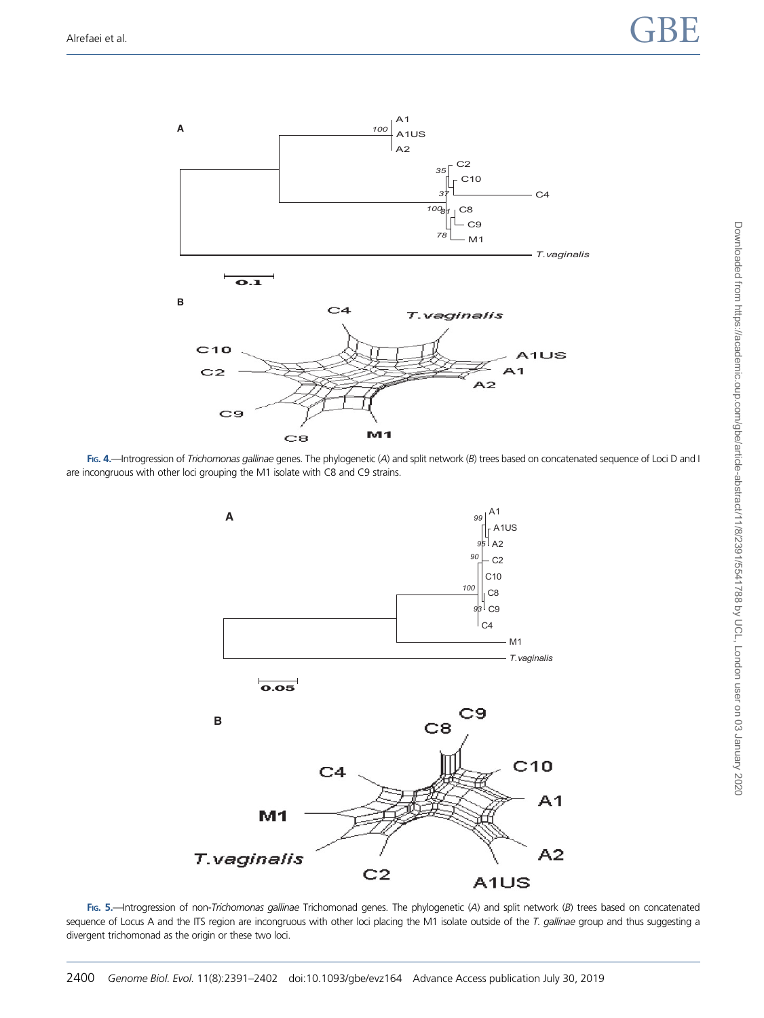<span id="page-9-0"></span>

FIG. 4.—Introgression of Trichomonas gallinae genes. The phylogenetic (A) and split network (B) trees based on concatenated sequence of Loci D and I are incongruous with other loci grouping the M1 isolate with C8 and C9 strains.



FIG. 5.-Introgression of non-Trichomonas gallinae Trichomonad genes. The phylogenetic (A) and split network (B) trees based on concatenated sequence of Locus A and the ITS region are incongruous with other loci placing the M1 isolate outside of the T. gallinae group and thus suggesting a divergent trichomonad as the origin or these two loci.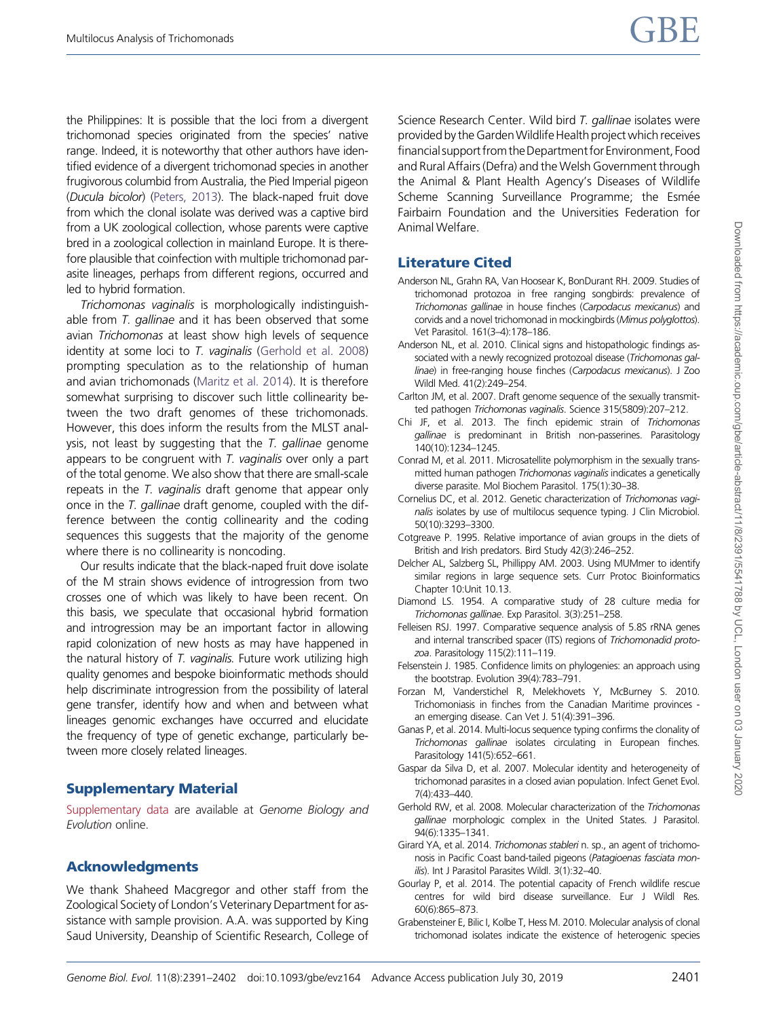<span id="page-10-0"></span>the Philippines: It is possible that the loci from a divergent trichomonad species originated from the species' native range. Indeed, it is noteworthy that other authors have identified evidence of a divergent trichomonad species in another frugivorous columbid from Australia, the Pied Imperial pigeon (Ducula bicolor) [\(Peters, 2013\)](#page-11-0). The black-naped fruit dove from which the clonal isolate was derived was a captive bird from a UK zoological collection, whose parents were captive bred in a zoological collection in mainland Europe. It is therefore plausible that coinfection with multiple trichomonad parasite lineages, perhaps from different regions, occurred and led to hybrid formation.

Trichomonas vaginalis is morphologically indistinguishable from  $T$ , gallinae and it has been observed that some avian *Trichomonas* at least show high levels of sequence identity at some loci to T. vaginalis (Gerhold et al. 2008) prompting speculation as to the relationship of human and avian trichomonads [\(Maritz et al. 2014\)](#page-11-0). It is therefore somewhat surprising to discover such little collinearity between the two draft genomes of these trichomonads. However, this does inform the results from the MLST analysis, not least by suggesting that the  $T$ . gallinae genome appears to be congruent with T. vaginalis over only a part of the total genome. We also show that there are small-scale repeats in the T. vaginalis draft genome that appear only once in the T. gallinae draft genome, coupled with the difference between the contig collinearity and the coding sequences this suggests that the majority of the genome where there is no collinearity is noncoding.

Our results indicate that the black-naped fruit dove isolate of the M strain shows evidence of introgression from two crosses one of which was likely to have been recent. On this basis, we speculate that occasional hybrid formation and introgression may be an important factor in allowing rapid colonization of new hosts as may have happened in the natural history of T. vaginalis. Future work utilizing high quality genomes and bespoke bioinformatic methods should help discriminate introgression from the possibility of lateral gene transfer, identify how and when and between what lineages genomic exchanges have occurred and elucidate the frequency of type of genetic exchange, particularly between more closely related lineages.

# Supplementary Material

[Supplementary data](https://academic.oup.com/gbe/article-lookup/doi/10.1093/gbe/evz164#supplementary-data) are available at Genome Biology and Evolution online.

# Acknowledgments

We thank Shaheed Macgregor and other staff from the Zoological Society of London's Veterinary Department for assistance with sample provision. A.A. was supported by King Saud University, Deanship of Scientific Research, College of

Science Research Center. Wild bird T. gallinae isolates were provided by the Garden Wildlife Health project which receives financial support from the Department for Environment, Food and Rural Affairs (Defra) and the Welsh Government through the Animal & Plant Health Agency's Diseases of Wildlife Scheme Scanning Surveillance Programme; the Esmée Fairbairn Foundation and the Universities Federation for Animal Welfare.

# Literature Cited

- Anderson NL, Grahn RA, Van Hoosear K, BonDurant RH. 2009. Studies of trichomonad protozoa in free ranging songbirds: prevalence of Trichomonas gallinae in house finches (Carpodacus mexicanus) and corvids and a novel trichomonad in mockingbirds (Mimus polyglottos). Vet Parasitol. 161(3–4):178–186.
- Anderson NL, et al. 2010. Clinical signs and histopathologic findings associated with a newly recognized protozoal disease (Trichomonas gallinae) in free-ranging house finches (Carpodacus mexicanus). J Zoo Wildl Med. 41(2):249–254.
- Carlton JM, et al. 2007. Draft genome sequence of the sexually transmitted pathogen Trichomonas vaginalis. Science 315(5809):207–212.
- Chi JF, et al. 2013. The finch epidemic strain of Trichomonas gallinae is predominant in British non-passerines. Parasitology 140(10):1234–1245.
- Conrad M, et al. 2011. Microsatellite polymorphism in the sexually transmitted human pathogen Trichomonas vaginalis indicates a genetically diverse parasite. Mol Biochem Parasitol. 175(1):30–38.
- Cornelius DC, et al. 2012. Genetic characterization of Trichomonas vaginalis isolates by use of multilocus sequence typing. J Clin Microbiol. 50(10):3293–3300.
- Cotgreave P. 1995. Relative importance of avian groups in the diets of British and Irish predators. Bird Study 42(3):246–252.
- Delcher AL, Salzberg SL, Phillippy AM. 2003. Using MUMmer to identify similar regions in large sequence sets. Curr Protoc Bioinformatics Chapter 10:Unit 10.13.
- Diamond LS. 1954. A comparative study of 28 culture media for Trichomonas gallinae. Exp Parasitol. 3(3):251–258.
- Felleisen RSJ. 1997. Comparative sequence analysis of 5.8S rRNA genes and internal transcribed spacer (ITS) regions of Trichomonadid protozoa. Parasitology 115(2):111–119.
- Felsenstein J. 1985. Confidence limits on phylogenies: an approach using the bootstrap. Evolution 39(4):783–791.
- Forzan M, Vanderstichel R, Melekhovets Y, McBurney S. 2010. Trichomoniasis in finches from the Canadian Maritime provinces an emerging disease. Can Vet J. 51(4):391–396.
- Ganas P, et al. 2014. Multi-locus sequence typing confirms the clonality of Trichomonas gallinae isolates circulating in European finches. Parasitology 141(5):652–661.
- Gaspar da Silva D, et al. 2007. Molecular identity and heterogeneity of trichomonad parasites in a closed avian population. Infect Genet Evol. 7(4):433–440.
- Gerhold RW, et al. 2008. Molecular characterization of the Trichomonas gallinae morphologic complex in the United States. J Parasitol. 94(6):1335–1341.
- Girard YA, et al. 2014. Trichomonas stableri n. sp., an agent of trichomonosis in Pacific Coast band-tailed pigeons (Patagioenas fasciata monilis). Int J Parasitol Parasites Wildl. 3(1):32-40.
- Gourlay P, et al. 2014. The potential capacity of French wildlife rescue centres for wild bird disease surveillance. Eur J Wildl Res. 60(6):865–873.
- Grabensteiner E, Bilic I, Kolbe T, Hess M. 2010. Molecular analysis of clonal trichomonad isolates indicate the existence of heterogenic species